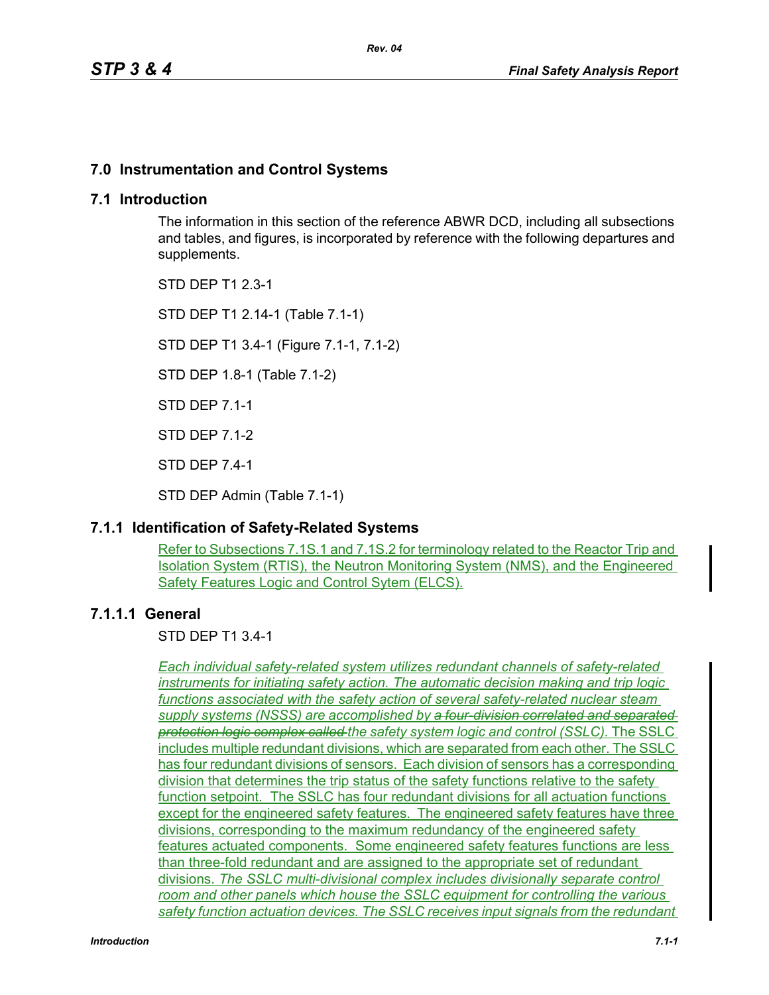# **7.0 Instrumentation and Control Systems**

## **7.1 Introduction**

The information in this section of the reference ABWR DCD, including all subsections and tables, and figures, is incorporated by reference with the following departures and supplements.

STD DEP T1 2.3-1

STD DEP T1 2.14-1 (Table 7.1-1)

STD DEP T1 3.4-1 (Figure 7.1-1, 7.1-2)

STD DEP 1.8-1 (Table 7.1-2)

STD DEP 7.1-1

STD DEP 7.1-2

STD DEP 7.4-1

STD DEP Admin (Table 7.1-1)

# **7.1.1 Identification of Safety-Related Systems**

Refer to Subsections 7.1S.1 and 7.1S.2 for terminology related to the Reactor Trip and Isolation System (RTIS), the Neutron Monitoring System (NMS), and the Engineered Safety Features Logic and Control Sytem (ELCS).

# **7.1.1.1 General**

STD DEP T1 3.4-1

*Each individual safety-related system utilizes redundant channels of safety-related instruments for initiating safety action. The automatic decision making and trip logic functions associated with the safety action of several safety-related nuclear steam supply systems (NSSS) are accomplished by a four-division correlated and separated protection logic complex called the safety system logic and control (SSLC).* The SSLC includes multiple redundant divisions, which are separated from each other. The SSLC has four redundant divisions of sensors. Each division of sensors has a corresponding division that determines the trip status of the safety functions relative to the safety function setpoint. The SSLC has four redundant divisions for all actuation functions except for the engineered safety features. The engineered safety features have three divisions, corresponding to the maximum redundancy of the engineered safety features actuated components. Some engineered safety features functions are less than three-fold redundant and are assigned to the appropriate set of redundant divisions. *The SSLC multi-divisional complex includes divisionally separate control room and other panels which house the SSLC equipment for controlling the various safety function actuation devices. The SSLC receives input signals from the redundant*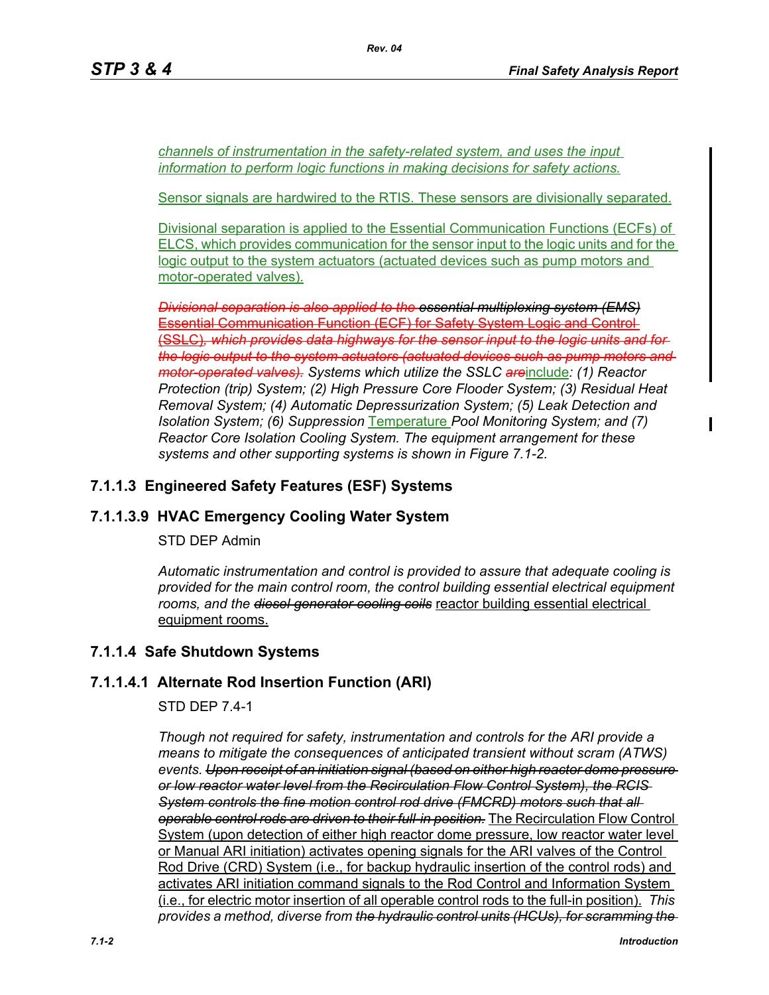*channels of instrumentation in the safety-related system, and uses the input information to perform logic functions in making decisions for safety actions.*

Sensor signals are hardwired to the RTIS. These sensors are divisionally separated.

Divisional separation is applied to the Essential Communication Functions (ECFs) of ELCS, which provides communication for the sensor input to the logic units and for the logic output to the system actuators (actuated devices such as pump motors and motor-operated valves).

*Divisional separation is also applied to the essential multiplexing system (EMS)* Essential Communication Function (ECF) for Safety System Logic and Control (SSLC)*, which provides data highways for the sensor input to the logic units and for the logic output to the system actuators (actuated devices such as pump motors and motor-operated valves). Systems which utilize the SSLC are*include*: (1) Reactor Protection (trip) System; (2) High Pressure Core Flooder System; (3) Residual Heat Removal System; (4) Automatic Depressurization System; (5) Leak Detection and Isolation System; (6) Suppression* Temperature *Pool Monitoring System; and (7) Reactor Core Isolation Cooling System. The equipment arrangement for these systems and other supporting systems is shown in Figure 7.1-2.*

# **7.1.1.3 Engineered Safety Features (ESF) Systems**

# **7.1.1.3.9 HVAC Emergency Cooling Water System**

STD DEP Admin

*Automatic instrumentation and control is provided to assure that adequate cooling is provided for the main control room, the control building essential electrical equipment rooms, and the diesel generator cooling coils* reactor building essential electrical equipment rooms.

# **7.1.1.4 Safe Shutdown Systems**

# **7.1.1.4.1 Alternate Rod Insertion Function (ARI)**

STD DEP 7.4-1

*Though not required for safety, instrumentation and controls for the ARI provide a means to mitigate the consequences of anticipated transient without scram (ATWS) events. Upon receipt of an initiation signal (based on either high reactor dome pressure or low reactor water level from the Recirculation Flow Control System), the RCIS System controls the fine motion control rod drive (FMCRD) motors such that all operable control rods are driven to their full-in position.* The Recirculation Flow Control System (upon detection of either high reactor dome pressure, low reactor water level or Manual ARI initiation) activates opening signals for the ARI valves of the Control Rod Drive (CRD) System (i.e., for backup hydraulic insertion of the control rods) and activates ARI initiation command signals to the Rod Control and Information System (i.e., for electric motor insertion of all operable control rods to the full-in position). *This provides a method, diverse from the hydraulic control units (HCUs), for scramming the*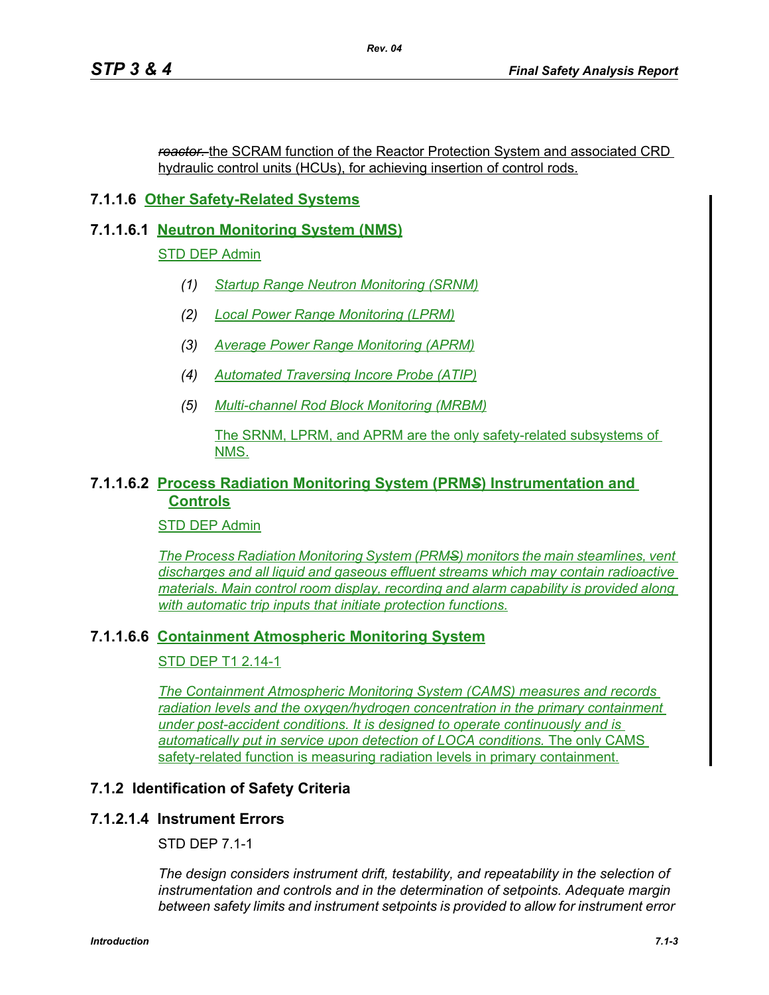*reactor.* the SCRAM function of the Reactor Protection System and associated CRD hydraulic control units (HCUs), for achieving insertion of control rods.

# **7.1.1.6 Other Safety-Related Systems**

# **7.1.1.6.1 Neutron Monitoring System (NMS)**

# STD DEP Admin

- *(1) Startup Range Neutron Monitoring (SRNM)*
- *(2) Local Power Range Monitoring (LPRM)*
- *(3) Average Power Range Monitoring (APRM)*
- *(4) Automated Traversing Incore Probe (ATIP)*
- *(5) Multi-channel Rod Block Monitoring (MRBM)*

## The SRNM, LPRM, and APRM are the only safety-related subsystems of NMS.

## **7.1.1.6.2 Process Radiation Monitoring System (PRM***S***) Instrumentation and Controls**

# STD DEP Admin

*The Process Radiation Monitoring System (PRMS) monitors the main steamlines, vent discharges and all liquid and gaseous effluent streams which may contain radioactive materials. Main control room display, recording and alarm capability is provided along with automatic trip inputs that initiate protection functions.*

# **7.1.1.6.6 Containment Atmospheric Monitoring System**

# STD DEP T1 2.14-1

*The Containment Atmospheric Monitoring System (CAMS) measures and records radiation levels and the oxygen/hydrogen concentration in the primary containment under post-accident conditions. It is designed to operate continuously and is automatically put in service upon detection of LOCA conditions.* The only CAMS safety-related function is measuring radiation levels in primary containment.

# **7.1.2 Identification of Safety Criteria**

# **7.1.2.1.4 Instrument Errors**

STD DEP 7.1-1

*The design considers instrument drift, testability, and repeatability in the selection of instrumentation and controls and in the determination of setpoints. Adequate margin between safety limits and instrument setpoints is provided to allow for instrument error*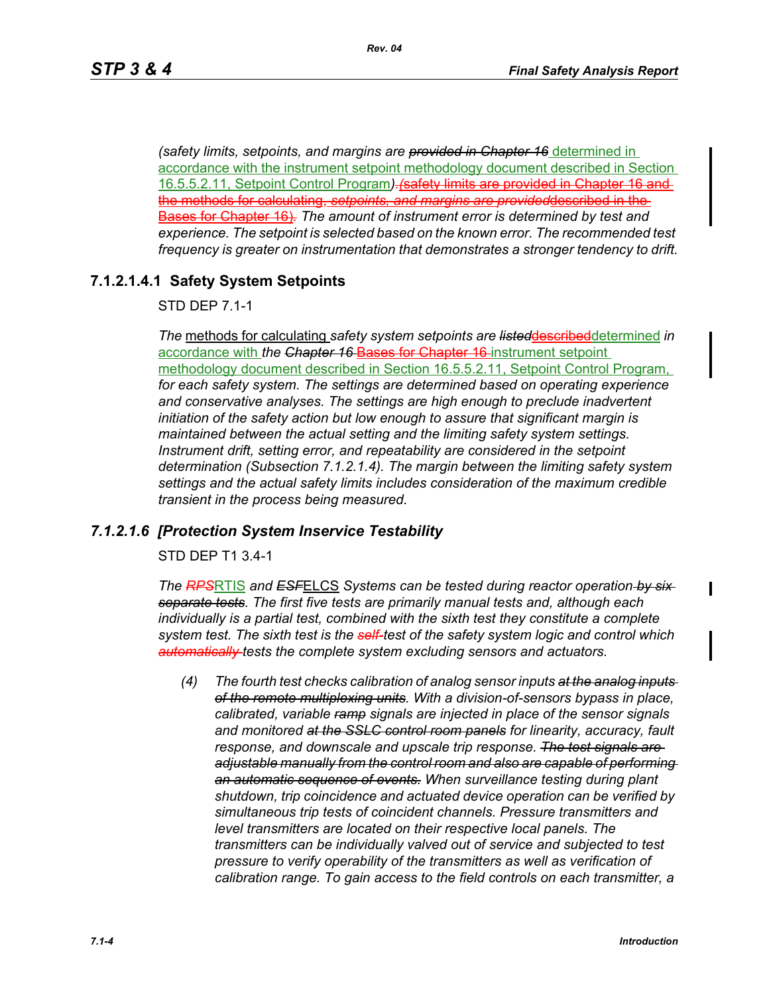*(safety limits, setpoints, and margins are provided in Chapter 16* determined in accordance with the instrument setpoint methodology document described in Section 16.5.5.2.11, Setpoint Control Program*).(*safety limits are provided in Chapter 16 and the methods for calculating, *setpoints, and margins are provided*described in the Bases for Chapter 16)*. The amount of instrument error is determined by test and experience. The setpoint is selected based on the known error. The recommended test frequency is greater on instrumentation that demonstrates a stronger tendency to drift.*

# **7.1.2.1.4.1 Safety System Setpoints**

STD DEP 7.1-1

*The* methods for calculating *safety system setpoints are listed*describeddetermined *in*  accordance with *the Chapter 16* Bases for Chapter 16 instrument setpoint methodology document described in Section 16.5.5.2.11, Setpoint Control Program, *for each safety system. The settings are determined based on operating experience and conservative analyses. The settings are high enough to preclude inadvertent initiation of the safety action but low enough to assure that significant margin is maintained between the actual setting and the limiting safety system settings. Instrument drift, setting error, and repeatability are considered in the setpoint determination (Subsection 7.1.2.1.4). The margin between the limiting safety system settings and the actual safety limits includes consideration of the maximum credible transient in the process being measured.*

# *7.1.2.1.6 [Protection System Inservice Testability*

STD DEP T1 3.4-1

*The RPS*RTIS *and ESF*ELCS *Systems can be tested during reactor operation by six separate tests. The first five tests are primarily manual tests and, although each individually is a partial test, combined with the sixth test they constitute a complete system test. The sixth test is the self-test of the safety system logic and control which automatically tests the complete system excluding sensors and actuators.*

*(4) The fourth test checks calibration of analog sensor inputs at the analog inputs of the remote multiplexing units. With a division-of-sensors bypass in place, calibrated, variable ramp signals are injected in place of the sensor signals and monitored at the SSLC control room panels for linearity, accuracy, fault response, and downscale and upscale trip response. The test signals are adjustable manually from the control room and also are capable of performing an automatic sequence of events. When surveillance testing during plant shutdown, trip coincidence and actuated device operation can be verified by simultaneous trip tests of coincident channels. Pressure transmitters and level transmitters are located on their respective local panels. The transmitters can be individually valved out of service and subjected to test pressure to verify operability of the transmitters as well as verification of calibration range. To gain access to the field controls on each transmitter, a*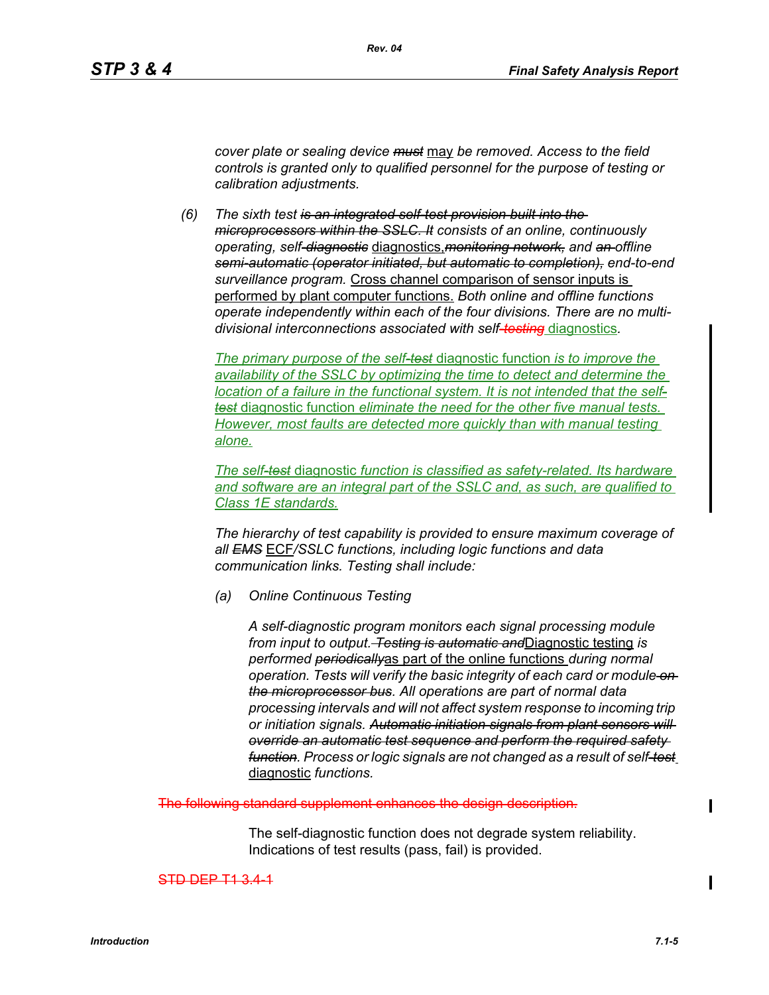*cover plate or sealing device must* may *be removed. Access to the field controls is granted only to qualified personnel for the purpose of testing or calibration adjustments.*

*(6) The sixth test is an integrated self-test provision built into the microprocessors within the SSLC. It consists of an online, continuously operating, self-diagnostic* diagnostics,*monitoring network, and an offline semi-automatic (operator initiated, but automatic to completion), end-to-end surveillance program.* Cross channel comparison of sensor inputs is performed by plant computer functions. *Both online and offline functions operate independently within each of the four divisions. There are no multidivisional interconnections associated with self-testing* diagnostics*.*

*The primary purpose of the self-test* diagnostic function *is to improve the availability of the SSLC by optimizing the time to detect and determine the location of a failure in the functional system. It is not intended that the selftest* diagnostic function *eliminate the need for the other five manual tests. However, most faults are detected more quickly than with manual testing alone.*

*The self-test* diagnostic *function is classified as safety-related. Its hardware and software are an integral part of the SSLC and, as such, are qualified to Class 1E standards.*

*The hierarchy of test capability is provided to ensure maximum coverage of all EMS* ECF*/SSLC functions, including logic functions and data communication links. Testing shall include:*

*(a) Online Continuous Testing*

*A self-diagnostic program monitors each signal processing module from input to output. Testing is automatic and*Diagnostic testing *is performed periodically*as part of the online functions *during normal operation. Tests will verify the basic integrity of each card or module on the microprocessor bus. All operations are part of normal data processing intervals and will not affect system response to incoming trip or initiation signals. Automatic initiation signals from plant sensors will override an automatic test sequence and perform the required safety function. Process or logic signals are not changed as a result of self-test* diagnostic *functions.*

supplement enhances the

The self-diagnostic function does not degrade system reliability. Indications of test results (pass, fail) is provided.

STD DEP T1 3.4-1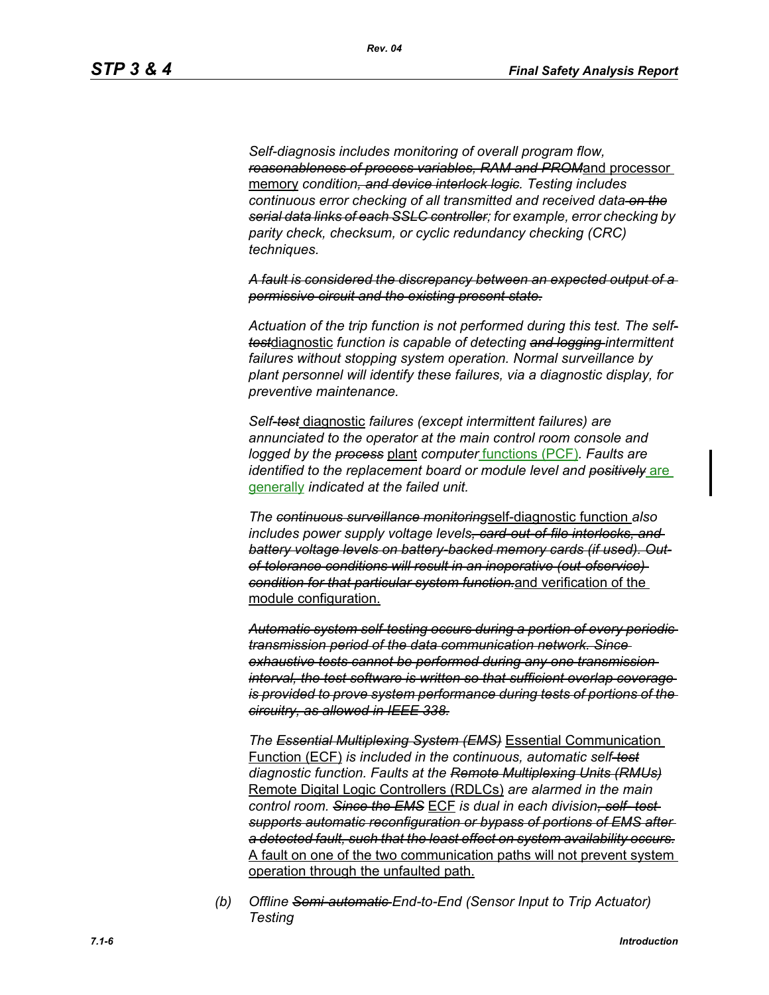*Self-diagnosis includes monitoring of overall program flow, reasonableness of process variables, RAM and PROM*and processor memory *condition, and device interlock logic. Testing includes continuous error checking of all transmitted and received data on the serial data links of each SSLC controller; for example, error checking by parity check, checksum, or cyclic redundancy checking (CRC) techniques.*

*Rev. 04*

*A fault is considered the discrepancy between an expected output of a permissive circuit and the existing present state.*

*Actuation of the trip function is not performed during this test. The selftest*diagnostic *function is capable of detecting and logging intermittent failures without stopping system operation. Normal surveillance by plant personnel will identify these failures, via a diagnostic display, for preventive maintenance.*

*Self-test* diagnostic *failures (except intermittent failures) are annunciated to the operator at the main control room console and logged by the process* plant *computer* functions (PCF)*. Faults are identified to the replacement board or module level and positively* are generally *indicated at the failed unit.*

*The continuous surveillance monitoring*self-diagnostic function *also includes power supply voltage levels, card-out-of-file interlocks, and battery voltage levels on battery-backed memory cards (if used). Outof-tolerance conditions will result in an inoperative (out-ofservice) condition for that particular system function.*and verification of the module configuration.

*Automatic system self-testing occurs during a portion of every periodic transmission period of the data communication network. Since exhaustive tests cannot be performed during any one transmission interval, the test software is written so that sufficient overlap coverage is provided to prove system performance during tests of portions of the circuitry, as allowed in IEEE 338.*

*The Essential Multiplexing System (EMS)* Essential Communication Function (ECF) *is included in the continuous, automatic self-test diagnostic function. Faults at the Remote Multiplexing Units (RMUs)* Remote Digital Logic Controllers (RDLCs) *are alarmed in the main control room. Since the EMS* ECF *is dual in each division, self- test supports automatic reconfiguration or bypass of portions of EMS after a detected fault, such that the least effect on system availability occurs.* A fault on one of the two communication paths will not prevent system operation through the unfaulted path.

*(b) Offline Semi-automatic End-to-End (Sensor Input to Trip Actuator) Testing*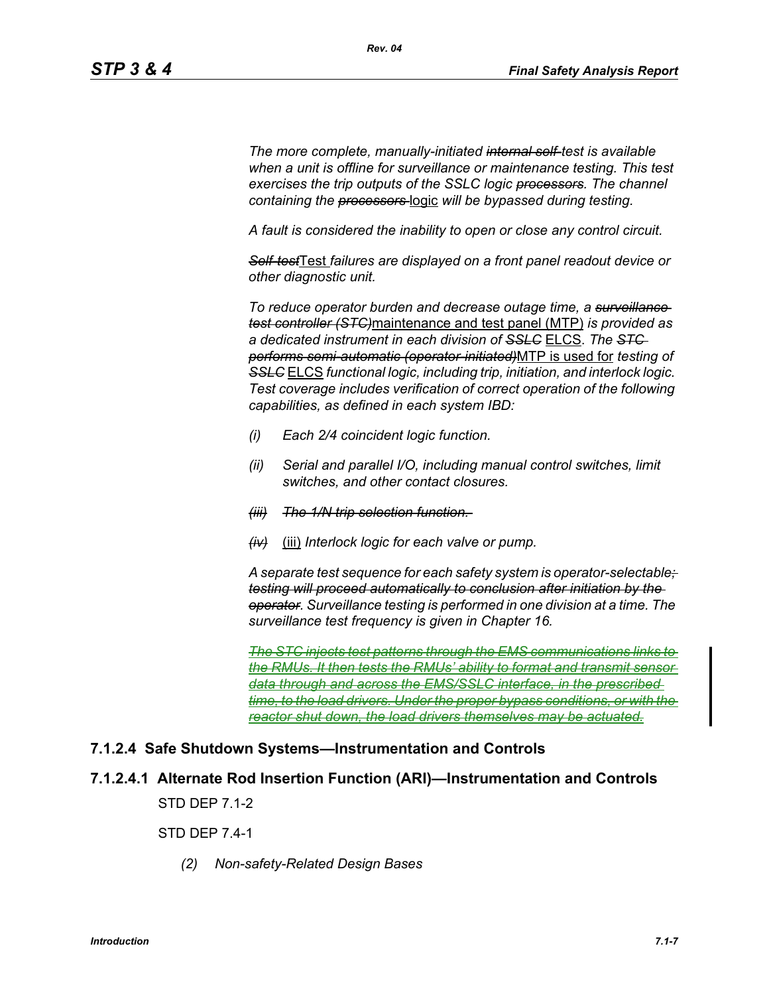*The more complete, manually-initiated internal self-test is available when a unit is offline for surveillance or maintenance testing. This test exercises the trip outputs of the SSLC logic processors. The channel containing the processors* logic *will be bypassed during testing.*

*A fault is considered the inability to open or close any control circuit.*

*Self-test*Test *failures are displayed on a front panel readout device or other diagnostic unit.*

*To reduce operator burden and decrease outage time, a surveillance test controller (STC)*maintenance and test panel (MTP) *is provided as a dedicated instrument in each division of SSLC* ELCS. *The STC performs semi-automatic (operator-initiated)*MTP is used for *testing of*  **SSLC** ELCS *functional logic, including trip, initiation, and interlock logic. Test coverage includes verification of correct operation of the following capabilities, as defined in each system IBD:*

- *(i) Each 2/4 coincident logic function.*
- *(ii) Serial and parallel I/O, including manual control switches, limit switches, and other contact closures.*
- *(iii) The 1/N trip selection function.*
- *(iv)* (iii) *Interlock logic for each valve or pump.*

*A separate test sequence for each safety system is operator-selectable; testing will proceed automatically to conclusion after initiation by the operator. Surveillance testing is performed in one division at a time. The surveillance test frequency is given in Chapter 16.*

*The STC injects test patterns through the EMS communications links to the RMUs. It then tests the RMUs' ability to format and transmit sensor data through and across the EMS/SSLC interface, in the prescribed time, to the load drivers. Under the proper bypass conditions, or with the reactor shut down, the load drivers themselves may be actuated.*

## **7.1.2.4 Safe Shutdown Systems—Instrumentation and Controls**

**7.1.2.4.1 Alternate Rod Insertion Function (ARI)—Instrumentation and Controls**

STD DEP 7.1-2

STD DEP 7.4-1

*(2) Non-safety-Related Design Bases*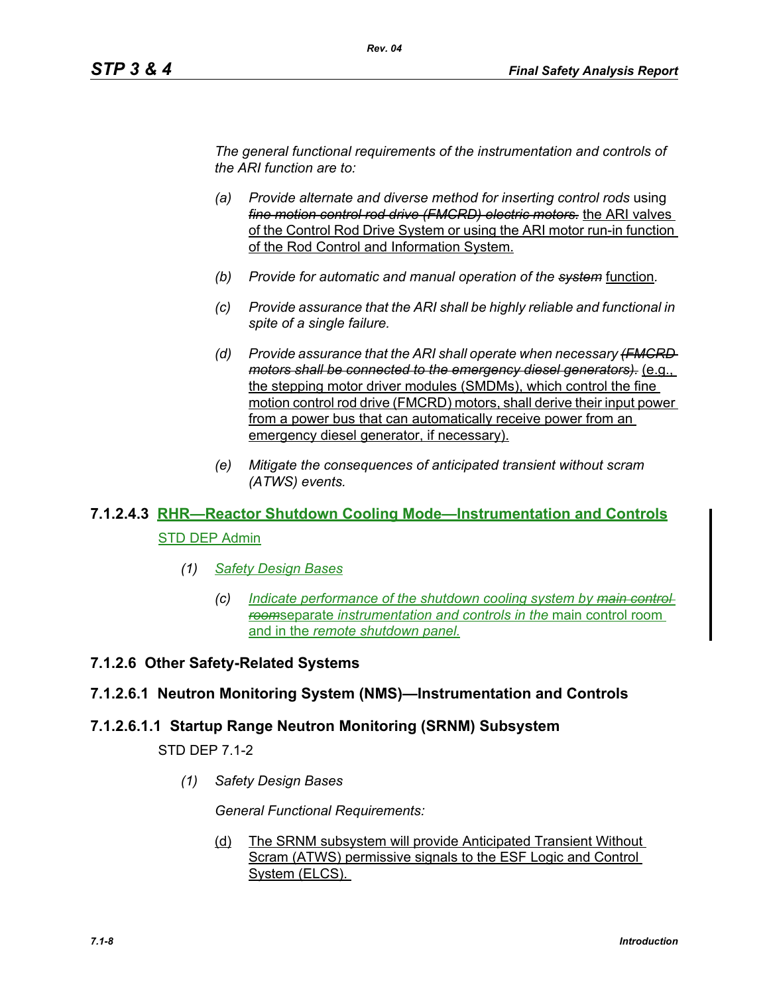*The general functional requirements of the instrumentation and controls of the ARI function are to:*

*Rev. 04*

- *(a) Provide alternate and diverse method for inserting control rods* using *fine motion control rod drive (FMCRD) electric motors.* the ARI valves of the Control Rod Drive System or using the ARI motor run-in function of the Rod Control and Information System.
- *(b) Provide for automatic and manual operation of the system* function*.*
- *(c) Provide assurance that the ARI shall be highly reliable and functional in spite of a single failure.*
- *(d) Provide assurance that the ARI shall operate when necessary (FMCRD motors shall be connected to the emergency diesel generators).* (e.g., the stepping motor driver modules (SMDMs), which control the fine motion control rod drive (FMCRD) motors, shall derive their input power from a power bus that can automatically receive power from an emergency diesel generator, if necessary).
- *(e) Mitigate the consequences of anticipated transient without scram (ATWS) events.*

# **7.1.2.4.3 RHR—Reactor Shutdown Cooling Mode—Instrumentation and Controls** STD DEP Admin

- *(1) Safety Design Bases*
	- *(c) Indicate performance of the shutdown cooling system by main control room*separate *instrumentation and controls in the* main control room and in the *remote shutdown panel.*

## **7.1.2.6 Other Safety-Related Systems**

## **7.1.2.6.1 Neutron Monitoring System (NMS)—Instrumentation and Controls**

## **7.1.2.6.1.1 Startup Range Neutron Monitoring (SRNM) Subsystem**

STD DEP 7.1-2

*(1) Safety Design Bases*

*General Functional Requirements:*

(d) The SRNM subsystem will provide Anticipated Transient Without Scram (ATWS) permissive signals to the ESF Logic and Control System (ELCS).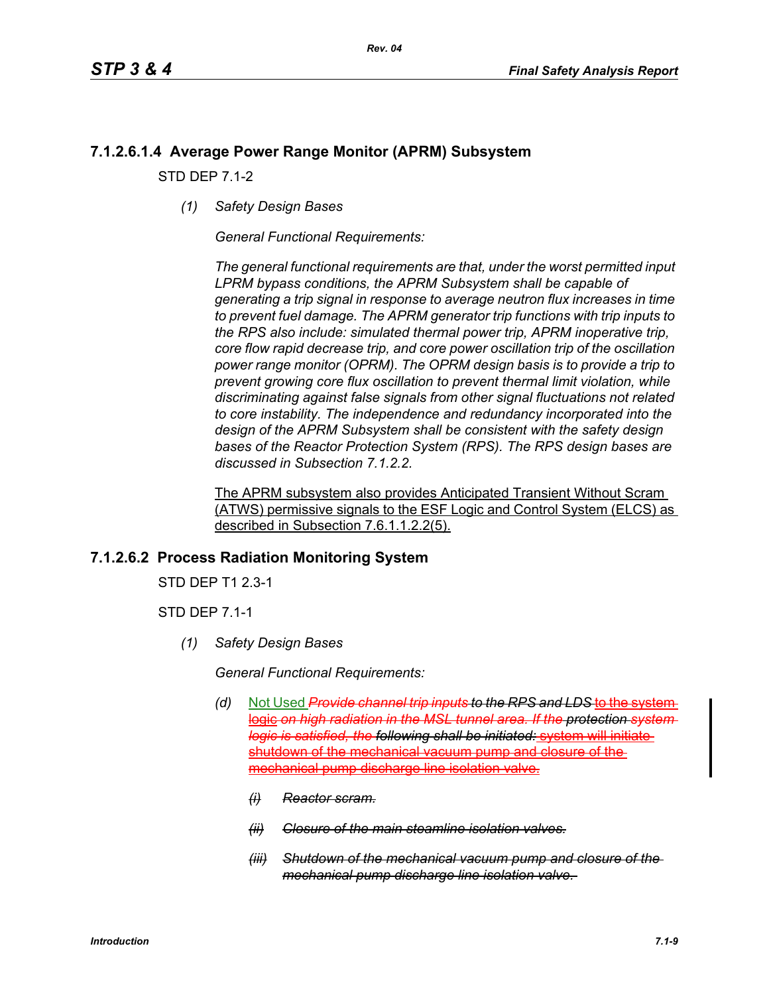# **7.1.2.6.1.4 Average Power Range Monitor (APRM) Subsystem**

STD DEP 7.1-2

*(1) Safety Design Bases*

*General Functional Requirements:*

*The general functional requirements are that, under the worst permitted input LPRM bypass conditions, the APRM Subsystem shall be capable of generating a trip signal in response to average neutron flux increases in time to prevent fuel damage. The APRM generator trip functions with trip inputs to the RPS also include: simulated thermal power trip, APRM inoperative trip, core flow rapid decrease trip, and core power oscillation trip of the oscillation power range monitor (OPRM). The OPRM design basis is to provide a trip to prevent growing core flux oscillation to prevent thermal limit violation, while discriminating against false signals from other signal fluctuations not related to core instability. The independence and redundancy incorporated into the design of the APRM Subsystem shall be consistent with the safety design bases of the Reactor Protection System (RPS). The RPS design bases are discussed in Subsection 7.1.2.2.*

The APRM subsystem also provides Anticipated Transient Without Scram (ATWS) permissive signals to the ESF Logic and Control System (ELCS) as described in Subsection 7.6.1.1.2.2(5).

# **7.1.2.6.2 Process Radiation Monitoring System**

STD DEP T1 2.3-1

STD DEP 7.1-1

*(1) Safety Design Bases*

*General Functional Requirements:*

- *(d)* Not Used *Provide channel trip inputs to the RPS and LDS* to the system logic on high radiation in the MSL tunnel area. If the protection system *logic is satisfied, the following shall be initiated:* system will initiate shutdown of the mechanical vacuum pump and closure of the mechanical pump discharge line isolation valve.
	- *(i) Reactor scram.*
	- *(ii) Closure of the main steamline isolation valves.*
	- *(iii) Shutdown of the mechanical vacuum pump and closure of the mechanical pump discharge line isolation valve.*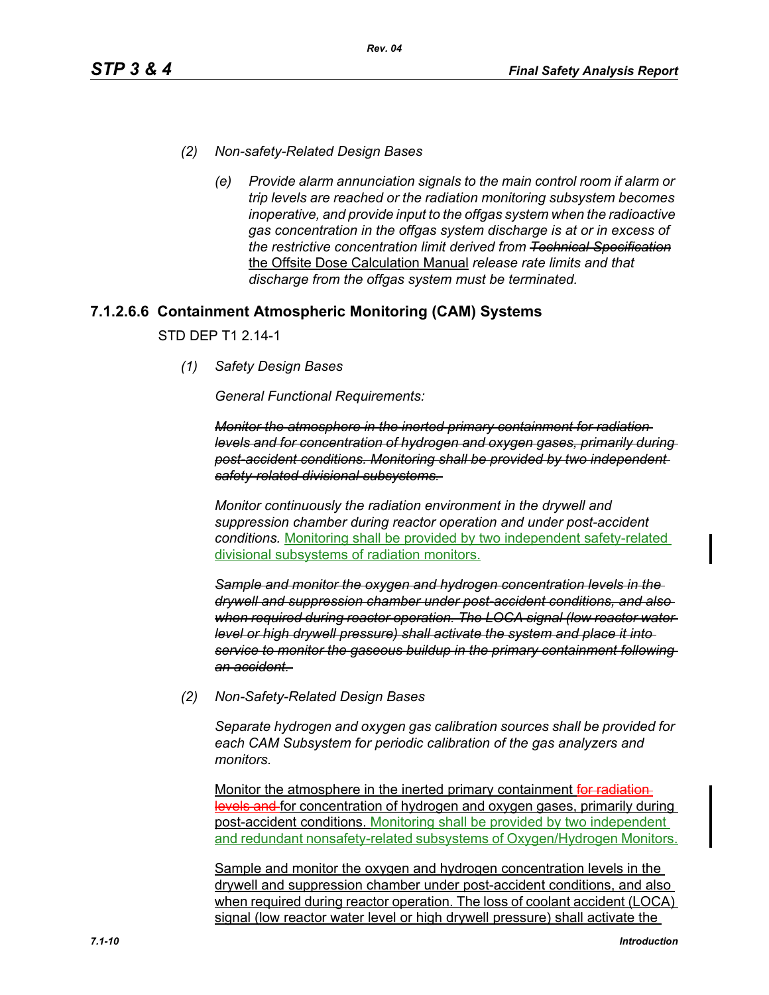- *(2) Non-safety-Related Design Bases*
	- *(e) Provide alarm annunciation signals to the main control room if alarm or trip levels are reached or the radiation monitoring subsystem becomes inoperative, and provide input to the offgas system when the radioactive gas concentration in the offgas system discharge is at or in excess of the restrictive concentration limit derived from Technical Specification* the Offsite Dose Calculation Manual *release rate limits and that discharge from the offgas system must be terminated.*

# **7.1.2.6.6 Containment Atmospheric Monitoring (CAM) Systems**

STD DEP T1 2.14-1

*(1) Safety Design Bases*

*General Functional Requirements:*

*Monitor the atmosphere in the inerted primary containment for radiation levels and for concentration of hydrogen and oxygen gases, primarily during post-accident conditions. Monitoring shall be provided by two independent safety-related divisional subsystems.* 

*Monitor continuously the radiation environment in the drywell and suppression chamber during reactor operation and under post-accident conditions.* Monitoring shall be provided by two independent safety-related divisional subsystems of radiation monitors.

*Sample and monitor the oxygen and hydrogen concentration levels in the drywell and suppression chamber under post-accident conditions, and also when required during reactor operation. The LOCA signal (low reactor water level or high drywell pressure) shall activate the system and place it into service to monitor the gaseous buildup in the primary containment following an accident.* 

*(2) Non-Safety-Related Design Bases*

*Separate hydrogen and oxygen gas calibration sources shall be provided for each CAM Subsystem for periodic calibration of the gas analyzers and monitors.* 

Monitor the atmosphere in the inerted primary containment for radiationlevels and for concentration of hydrogen and oxygen gases, primarily during post-accident conditions. Monitoring shall be provided by two independent and redundant nonsafety-related subsystems of Oxygen/Hydrogen Monitors.

Sample and monitor the oxygen and hydrogen concentration levels in the drywell and suppression chamber under post-accident conditions, and also when required during reactor operation. The loss of coolant accident (LOCA) signal (low reactor water level or high drywell pressure) shall activate the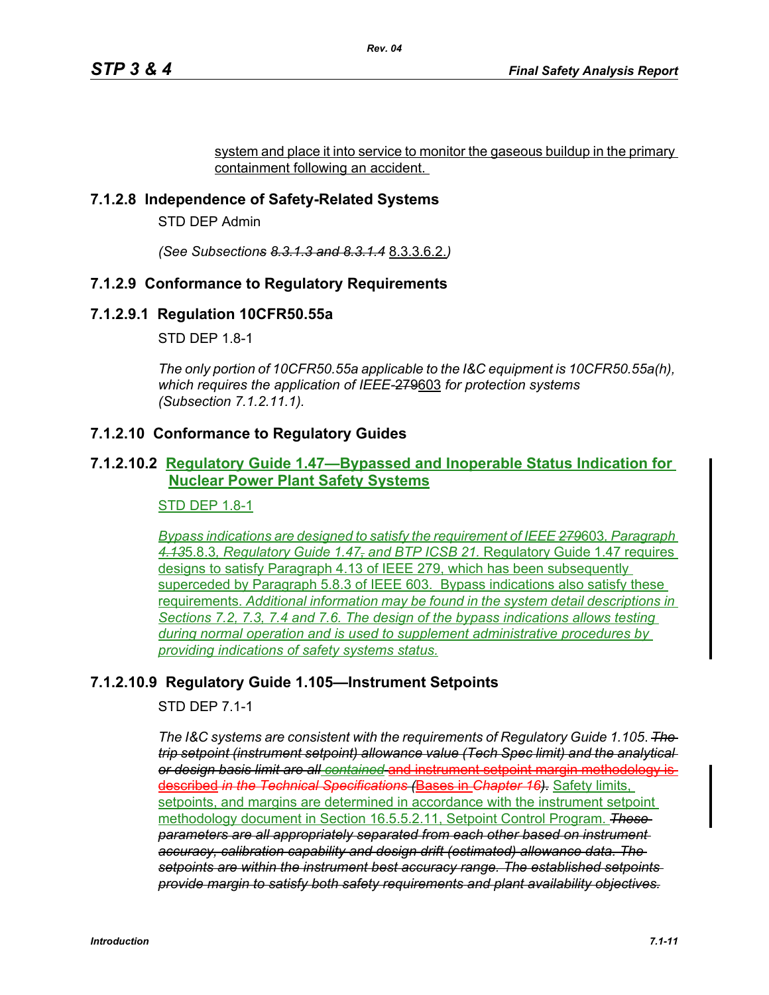system and place it into service to monitor the gaseous buildup in the primary containment following an accident.

## **7.1.2.8 Independence of Safety-Related Systems**

STD DEP Admin

*(See Subsections 8.3.1.3 and 8.3.1.4* 8.3.3.6.2.*)*

## **7.1.2.9 Conformance to Regulatory Requirements**

## **7.1.2.9.1 Regulation 10CFR50.55a**

STD DEP 1.8-1

*The only portion of 10CFR50.55a applicable to the I&C equipment is 10CFR50.55a(h), which requires the application of IEEE-*279603 *for protection systems (Subsection 7.1.2.11.1).*

## **7.1.2.10 Conformance to Regulatory Guides**

## **7.1.2.10.2 Regulatory Guide 1.47—Bypassed and Inoperable Status Indication for Nuclear Power Plant Safety Systems**

### STD DEP 1.8-1

*Bypass indications are designed to satisfy the requirement of IEEE 279*603*, Paragraph 4.13*5.8.3*, Regulatory Guide 1.47, and BTP ICSB 21.* Regulatory Guide 1.47 requires designs to satisfy Paragraph 4.13 of IEEE 279, which has been subsequently superceded by Paragraph 5.8.3 of IEEE 603. Bypass indications also satisfy these requirements. *Additional information may be found in the system detail descriptions in Sections 7.2, 7.3, 7.4 and 7.6. The design of the bypass indications allows testing during normal operation and is used to supplement administrative procedures by providing indications of safety systems status.*

## **7.1.2.10.9 Regulatory Guide 1.105—Instrument Setpoints**

## STD DEP 7.1-1

*The I&C systems are consistent with the requirements of Regulatory Guide 1.105*. *The trip setpoint (instrument setpoint) allowance value (Tech Spec limit) and the analytical or design basis limit are all contained* and instrument setpoint margin methodology is described *in the Technical Specifications (*Bases in *Chapter 16).* Safety limits, setpoints, and margins are determined in accordance with the instrument setpoint methodology document in Section 16.5.5.2.11, Setpoint Control Program. *These parameters are all appropriately separated from each other based on instrument accuracy, calibration capability and design drift (estimated) allowance data. The setpoints are within the instrument best accuracy range. The established setpoints provide margin to satisfy both safety requirements and plant availability objectives.*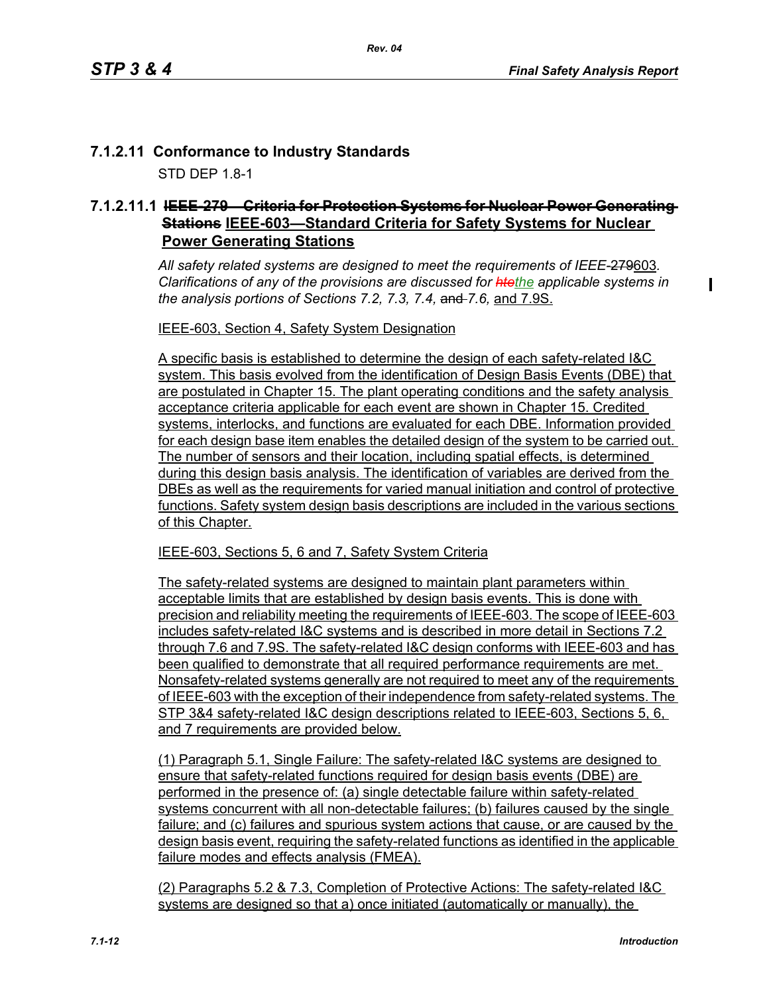$\mathbf I$ 

# **7.1.2.11 Conformance to Industry Standards**

STD DEP 1.8-1

# **7.1.2.11.1 IEEE-279—Criteria for Protection Systems for Nuclear Power Generating Stations IEEE-603—Standard Criteria for Safety Systems for Nuclear Power Generating Stations**

*All safety related systems are designed to meet the requirements of IEEE-*279603*. Clarifications of any of the provisions are discussed for htethe applicable systems in the analysis portions of Sections 7.2, 7.3, 7.4,* and *7.6,* and 7.9S.

IEEE-603, Section 4, Safety System Designation

A specific basis is established to determine the design of each safety-related I&C system. This basis evolved from the identification of Design Basis Events (DBE) that are postulated in Chapter 15. The plant operating conditions and the safety analysis acceptance criteria applicable for each event are shown in Chapter 15. Credited systems, interlocks, and functions are evaluated for each DBE. Information provided for each design base item enables the detailed design of the system to be carried out. The number of sensors and their location, including spatial effects, is determined during this design basis analysis. The identification of variables are derived from the DBEs as well as the requirements for varied manual initiation and control of protective functions. Safety system design basis descriptions are included in the various sections of this Chapter.

IEEE-603, Sections 5, 6 and 7, Safety System Criteria

The safety-related systems are designed to maintain plant parameters within acceptable limits that are established by design basis events. This is done with precision and reliability meeting the requirements of IEEE-603. The scope of IEEE-603 includes safety-related I&C systems and is described in more detail in Sections 7.2 through 7.6 and 7.9S. The safety-related I&C design conforms with IEEE-603 and has been qualified to demonstrate that all required performance requirements are met. Nonsafety-related systems generally are not required to meet any of the requirements of IEEE-603 with the exception of their independence from safety-related systems. The STP 3&4 safety-related I&C design descriptions related to IEEE-603, Sections 5, 6, and 7 requirements are provided below.

(1) Paragraph 5.1, Single Failure: The safety-related I&C systems are designed to ensure that safety-related functions required for design basis events (DBE) are performed in the presence of: (a) single detectable failure within safety-related systems concurrent with all non-detectable failures; (b) failures caused by the single failure; and (c) failures and spurious system actions that cause, or are caused by the design basis event, requiring the safety-related functions as identified in the applicable failure modes and effects analysis (FMEA).

(2) Paragraphs 5.2 & 7.3, Completion of Protective Actions: The safety-related I&C systems are designed so that a) once initiated (automatically or manually), the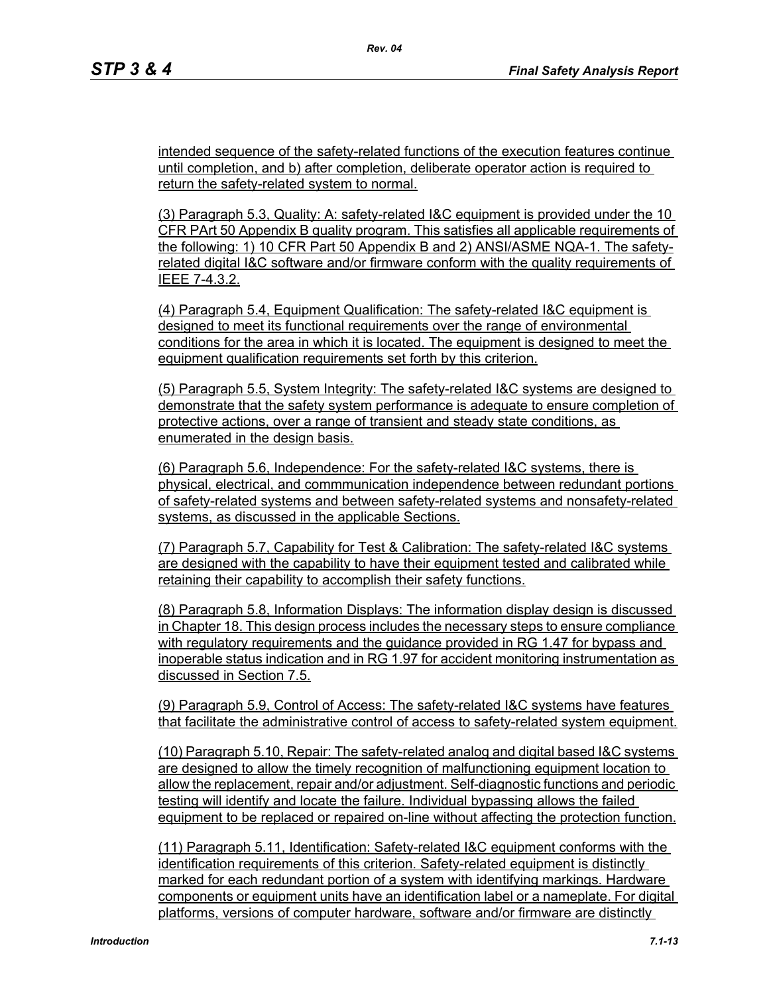intended sequence of the safety-related functions of the execution features continue until completion, and b) after completion, deliberate operator action is required to return the safety-related system to normal.

(3) Paragraph 5.3, Quality: A: safety-related I&C equipment is provided under the 10 CFR PArt 50 Appendix B quality program. This satisfies all applicable requirements of the following: 1) 10 CFR Part 50 Appendix B and 2) ANSI/ASME NQA-1. The safetyrelated digital I&C software and/or firmware conform with the quality requirements of IEEE 7-4.3.2.

(4) Paragraph 5.4, Equipment Qualification: The safety-related I&C equipment is designed to meet its functional requirements over the range of environmental conditions for the area in which it is located. The equipment is designed to meet the equipment qualification requirements set forth by this criterion.

(5) Paragraph 5.5, System Integrity: The safety-related I&C systems are designed to demonstrate that the safety system performance is adequate to ensure completion of protective actions, over a range of transient and steady state conditions, as enumerated in the design basis.

(6) Paragraph 5.6, Independence: For the safety-related I&C systems, there is physical, electrical, and commmunication independence between redundant portions of safety-related systems and between safety-related systems and nonsafety-related systems, as discussed in the applicable Sections.

(7) Paragraph 5.7, Capability for Test & Calibration: The safety-related I&C systems are designed with the capability to have their equipment tested and calibrated while retaining their capability to accomplish their safety functions.

(8) Paragraph 5.8, Information Displays: The information display design is discussed in Chapter 18. This design process includes the necessary steps to ensure compliance with regulatory requirements and the guidance provided in RG 1.47 for bypass and inoperable status indication and in RG 1.97 for accident monitoring instrumentation as discussed in Section 7.5.

(9) Paragraph 5.9, Control of Access: The safety-related I&C systems have features that facilitate the administrative control of access to safety-related system equipment.

(10) Paragraph 5.10, Repair: The safety-related analog and digital based I&C systems are designed to allow the timely recognition of malfunctioning equipment location to allow the replacement, repair and/or adjustment. Self-diagnostic functions and periodic testing will identify and locate the failure. Individual bypassing allows the failed equipment to be replaced or repaired on-line without affecting the protection function.

(11) Paragraph 5.11, Identification: Safety-related I&C equipment conforms with the identification requirements of this criterion. Safety-related equipment is distinctly marked for each redundant portion of a system with identifying markings. Hardware components or equipment units have an identification label or a nameplate. For digital platforms, versions of computer hardware, software and/or firmware are distinctly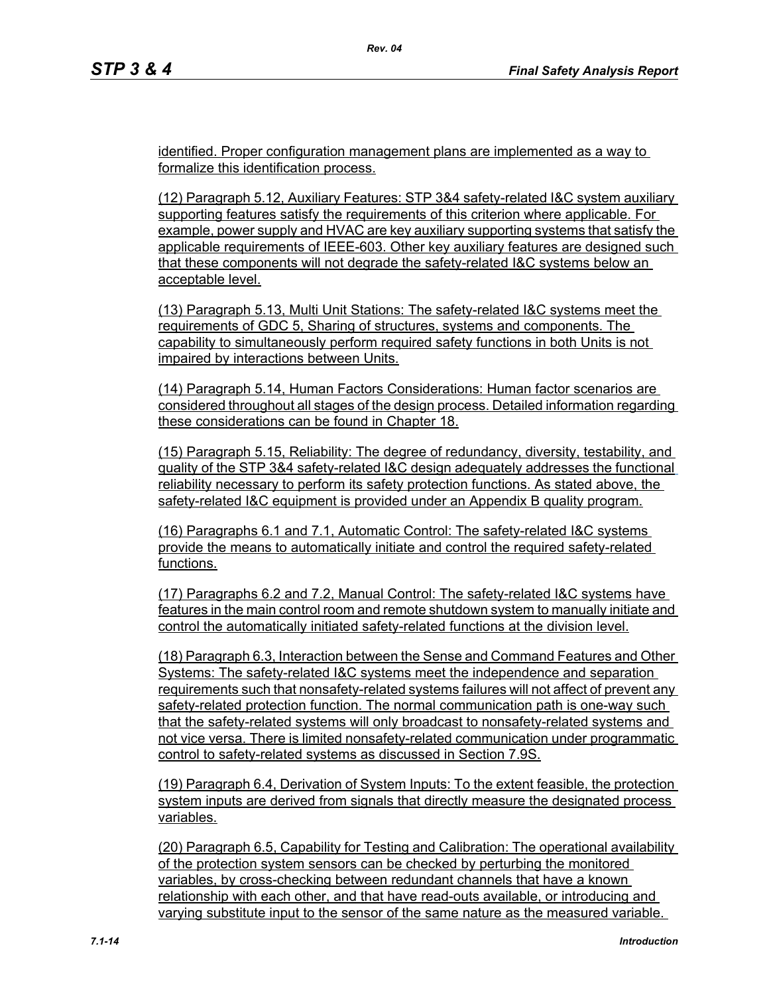identified. Proper configuration management plans are implemented as a way to formalize this identification process.

(12) Paragraph 5.12, Auxiliary Features: STP 3&4 safety-related I&C system auxiliary supporting features satisfy the requirements of this criterion where applicable. For example, power supply and HVAC are key auxiliary supporting systems that satisfy the applicable requirements of IEEE-603. Other key auxiliary features are designed such that these components will not degrade the safety-related I&C systems below an acceptable level.

(13) Paragraph 5.13, Multi Unit Stations: The safety-related I&C systems meet the requirements of GDC 5, Sharing of structures, systems and components. The capability to simultaneously perform required safety functions in both Units is not impaired by interactions between Units.

(14) Paragraph 5.14, Human Factors Considerations: Human factor scenarios are considered throughout all stages of the design process. Detailed information regarding these considerations can be found in Chapter 18.

(15) Paragraph 5.15, Reliability: The degree of redundancy, diversity, testability, and quality of the STP 3&4 safety-related I&C design adequately addresses the functional reliability necessary to perform its safety protection functions. As stated above, the safety-related I&C equipment is provided under an Appendix B quality program.

(16) Paragraphs 6.1 and 7.1, Automatic Control: The safety-related I&C systems provide the means to automatically initiate and control the required safety-related functions.

(17) Paragraphs 6.2 and 7.2, Manual Control: The safety-related I&C systems have features in the main control room and remote shutdown system to manually initiate and control the automatically initiated safety-related functions at the division level.

(18) Paragraph 6.3, Interaction between the Sense and Command Features and Other Systems: The safety-related I&C systems meet the independence and separation requirements such that nonsafety-related systems failures will not affect of prevent any safety-related protection function. The normal communication path is one-way such that the safety-related systems will only broadcast to nonsafety-related systems and not vice versa. There is limited nonsafety-related communication under programmatic control to safety-related systems as discussed in Section 7.9S.

(19) Paragraph 6.4, Derivation of System Inputs: To the extent feasible, the protection system inputs are derived from signals that directly measure the designated process variables.

(20) Paragraph 6.5, Capability for Testing and Calibration: The operational availability of the protection system sensors can be checked by perturbing the monitored variables, by cross-checking between redundant channels that have a known relationship with each other, and that have read-outs available, or introducing and varying substitute input to the sensor of the same nature as the measured variable.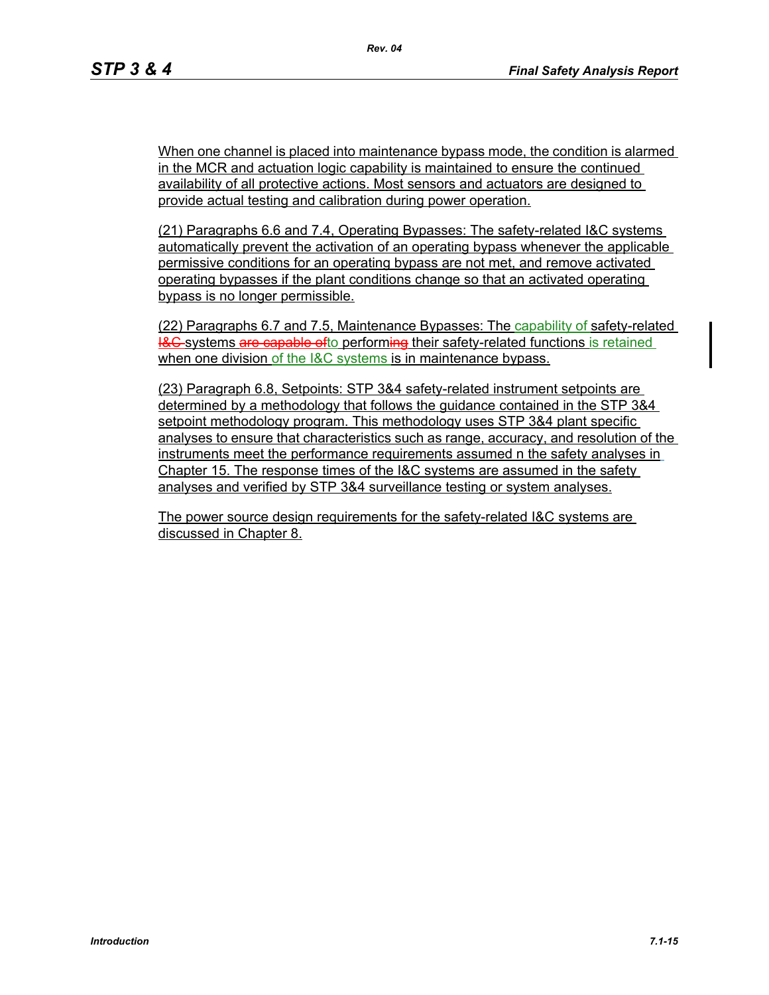When one channel is placed into maintenance bypass mode, the condition is alarmed in the MCR and actuation logic capability is maintained to ensure the continued availability of all protective actions. Most sensors and actuators are designed to provide actual testing and calibration during power operation.

(21) Paragraphs 6.6 and 7.4, Operating Bypasses: The safety-related I&C systems automatically prevent the activation of an operating bypass whenever the applicable permissive conditions for an operating bypass are not met, and remove activated operating bypasses if the plant conditions change so that an activated operating bypass is no longer permissible.

(22) Paragraphs 6.7 and 7.5, Maintenance Bypasses: The capability of safety-related **I&C** systems are capable ofto performing their safety-related functions is retained when one division of the I&C systems is in maintenance bypass.

(23) Paragraph 6.8, Setpoints: STP 3&4 safety-related instrument setpoints are determined by a methodology that follows the guidance contained in the STP 3&4 setpoint methodology program. This methodology uses STP 3&4 plant specific analyses to ensure that characteristics such as range, accuracy, and resolution of the instruments meet the performance requirements assumed n the safety analyses in Chapter 15. The response times of the I&C systems are assumed in the safety analyses and verified by STP 3&4 surveillance testing or system analyses.

The power source design requirements for the safety-related I&C systems are discussed in Chapter 8.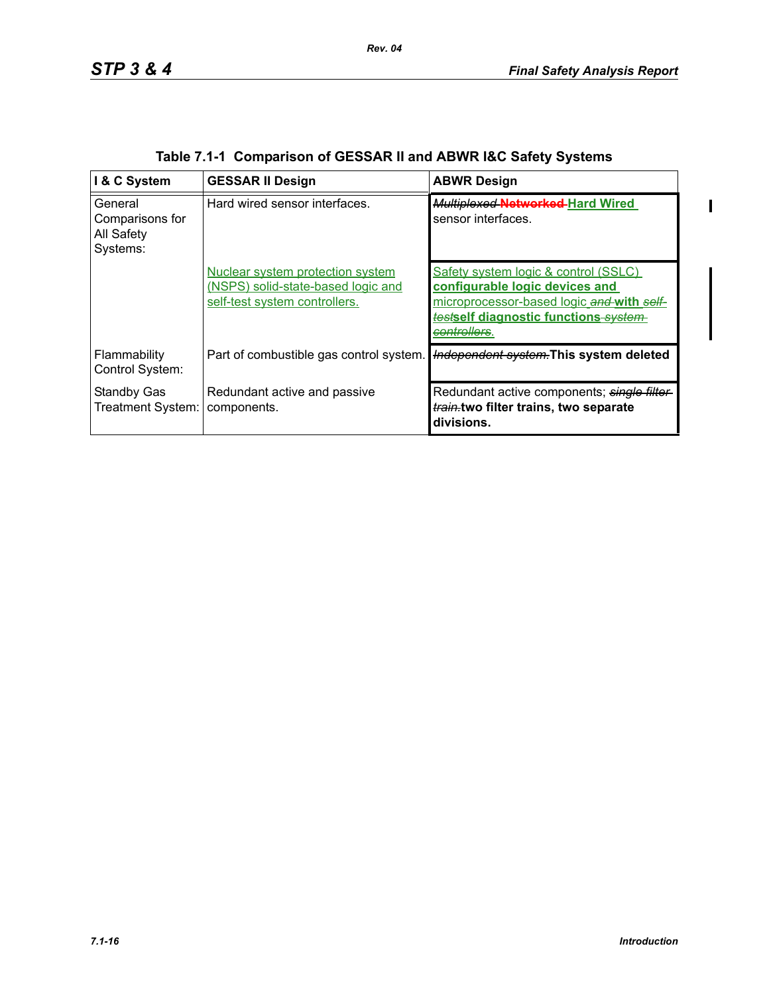$\blacksquare$ 

| I & C System                                         | <b>GESSAR II Design</b>                                                                                 | <b>ABWR Design</b>                                                                                                                                                                      |
|------------------------------------------------------|---------------------------------------------------------------------------------------------------------|-----------------------------------------------------------------------------------------------------------------------------------------------------------------------------------------|
| General<br>Comparisons for<br>All Safety<br>Systems: | Hard wired sensor interfaces.                                                                           | Multiplexed Networked-Hard Wired<br>sensor interfaces.                                                                                                                                  |
|                                                      | Nuclear system protection system<br>(NSPS) solid-state-based logic and<br>self-test system controllers. | Safety system logic & control (SSLC)<br>configurable logic devices and<br>microprocessor-based logic and with self-<br>testself diagnostic functions system<br><del>controllers</del> . |
| Flammability<br>Control System:                      | Part of combustible gas control system.                                                                 | Independent system. This system deleted                                                                                                                                                 |
| <b>Standby Gas</b><br>Treatment System:              | Redundant active and passive<br>components.                                                             | Redundant active components; single filter-<br>train.two filter trains, two separate<br>divisions.                                                                                      |

|  | Table 7.1-1 Comparison of GESSAR II and ABWR I&C Safety Systems |  |  |
|--|-----------------------------------------------------------------|--|--|
|  |                                                                 |  |  |

*Rev. 04*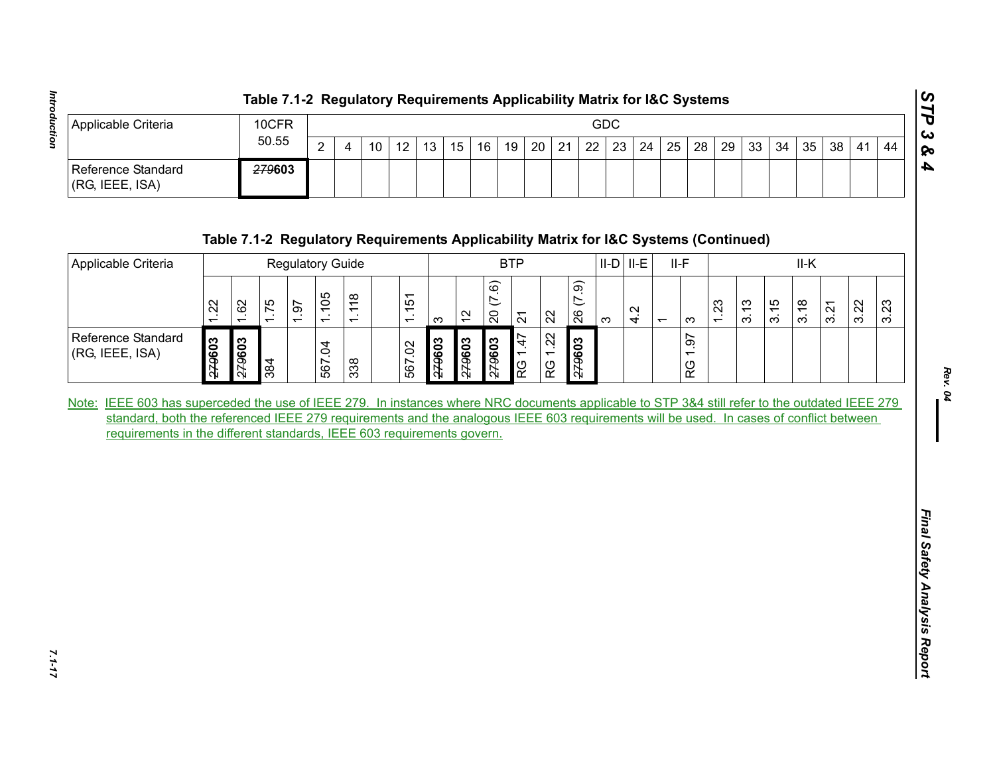|                                        | Table 7.1-2 Regulatory Requirements Applicability Matrix for I&C Systems |        |   |  |                   |    |  |         |  |  |          |  |  |                   |  |  |  |       |                                  |    | ທ    |
|----------------------------------------|--------------------------------------------------------------------------|--------|---|--|-------------------|----|--|---------|--|--|----------|--|--|-------------------|--|--|--|-------|----------------------------------|----|------|
| Applicable Criteria                    | 10CFR                                                                    | GDC    |   |  |                   |    |  |         |  |  |          |  |  |                   |  |  |  | ده) ا |                                  |    |      |
|                                        | 50.55                                                                    | $\sim$ | 4 |  | $12 \overline{ }$ | 13 |  | $15$ 16 |  |  | 19 20 21 |  |  | 22   23   24   25 |  |  |  |       | 28   29   33   34   35   38   41 | 44 | 1 Qo |
| Reference Standard<br> (RG, IEEE, ISA) | <del>279</del> 603                                                       |        |   |  |                   |    |  |         |  |  |          |  |  |                   |  |  |  |       |                                  |    |      |

| Applicable Criteria<br>Reference Standard<br>(RG, IEEE, ISA)                                                                                                                                                     |        |                | 10CFR  |                  |        |                |                 |        |                |               |                         |                |         |                    |             | <b>GDC</b>                                                                           |     |                |            |      |      |      |      |      |      |      |
|------------------------------------------------------------------------------------------------------------------------------------------------------------------------------------------------------------------|--------|----------------|--------|------------------|--------|----------------|-----------------|--------|----------------|---------------|-------------------------|----------------|---------|--------------------|-------------|--------------------------------------------------------------------------------------|-----|----------------|------------|------|------|------|------|------|------|------|
|                                                                                                                                                                                                                  |        |                | 50.55  |                  |        | $\overline{4}$ | 10 <sup>1</sup> | 12     | 13             | $15 \mid$     | 16                      | 19             | 20      | 21                 | 22          | 23                                                                                   | 24  | 25             | 28         | 29   | 33   | 34   | 35   | 38   | 41   | 44   |
|                                                                                                                                                                                                                  |        |                | 279603 |                  |        |                |                 |        |                |               |                         |                |         |                    |             |                                                                                      |     |                |            |      |      |      |      |      |      |      |
|                                                                                                                                                                                                                  |        |                |        |                  |        |                |                 |        |                |               |                         |                |         |                    |             | Table 7.1-2 Regulatory Requirements Applicability Matrix for I&C Systems (Continued) |     |                |            |      |      |      |      |      |      |      |
| Applicable Criteria                                                                                                                                                                                              |        |                |        | Regulatory Guide |        |                |                 |        |                |               |                         | <b>BTP</b>     |         |                    |             | $II-D$ $II-E$                                                                        |     | $II-F$         |            |      |      |      | II-K |      |      |      |
|                                                                                                                                                                                                                  | 1.22   | 1.62           | 1.75   | 1.97             | 1.105  | 1.118          |                 | 1.151  | $\infty$       | $\frac{1}{2}$ | (7.6)<br>$\overline{c}$ | $\overline{2}$ | 22      |                    | (7.9)<br>26 | $\infty$                                                                             | 4.2 | $\overline{ }$ | က          | 1.23 | 3.13 | 3.15 | 3.18 | 3.21 | 3.22 | 3.23 |
| Reference Standard<br>(RG, IEEE, ISA)                                                                                                                                                                            | 279603 | £096ź <i>z</i> | 384    |                  | 567.04 | 338            |                 | 567.02 | £096ź <i>3</i> | <b>2096z2</b> | <b>2096ź2</b>           | 1.47<br>RG     | RG 1.22 | £096ź <del>7</del> |             |                                                                                      |     |                | 1.97<br>RG |      |      |      |      |      |      |      |
| standard, both the referenced IEEE 279 requirements and the analogous IEEE 603 requirements will be used. In cases of conflict between<br>requirements in the different standards, IEEE 603 requirements govern. |        |                |        |                  |        |                |                 |        |                |               |                         |                |         |                    |             |                                                                                      |     |                |            |      |      |      |      |      |      |      |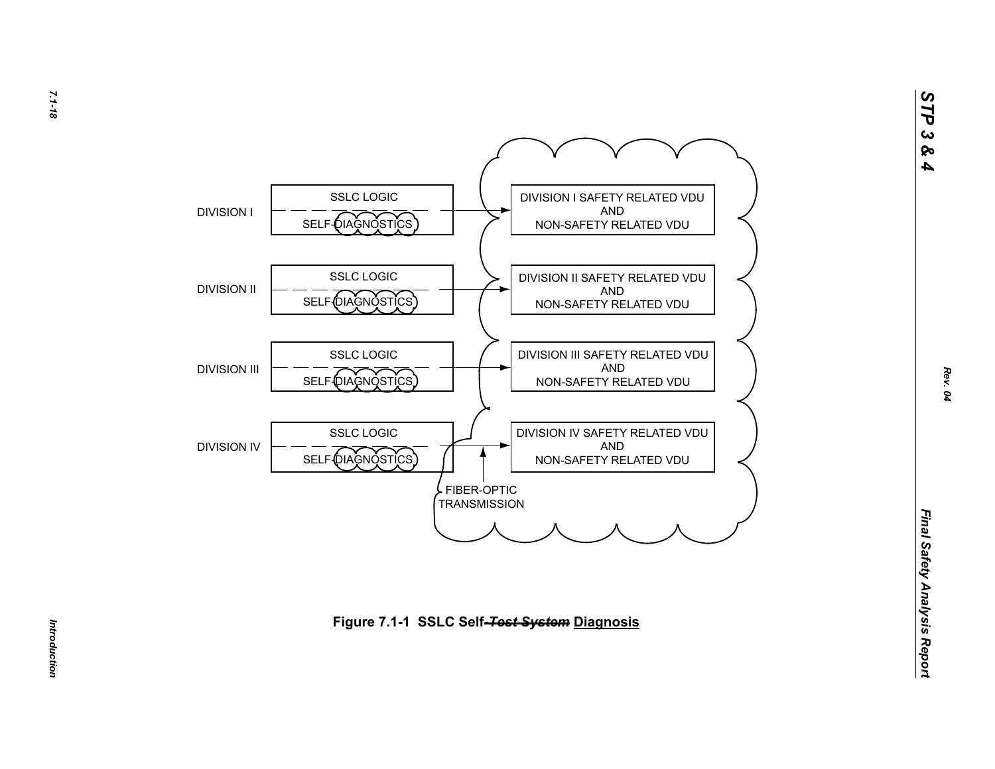